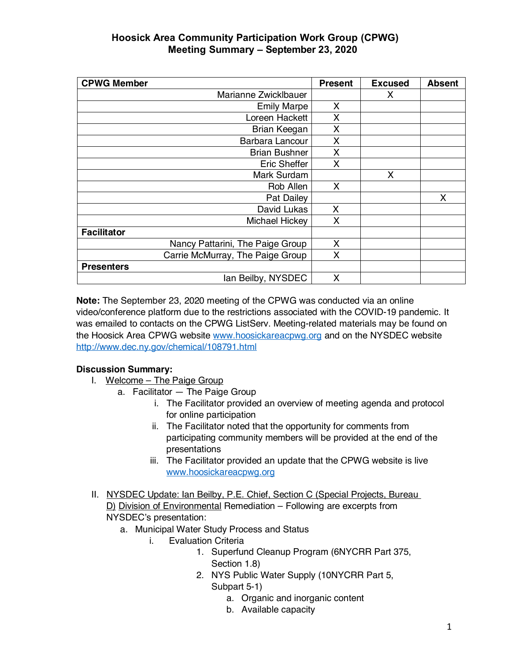| <b>CPWG Member</b>               | <b>Present</b> | <b>Excused</b> | <b>Absent</b> |
|----------------------------------|----------------|----------------|---------------|
| Marianne Zwicklbauer             |                | X              |               |
| <b>Emily Marpe</b>               | X              |                |               |
| Loreen Hackett                   | X              |                |               |
| Brian Keegan                     | Χ              |                |               |
| Barbara Lancour                  | X              |                |               |
| <b>Brian Bushner</b>             | X              |                |               |
| Eric Sheffer                     | X              |                |               |
| Mark Surdam                      |                | X              |               |
| Rob Allen                        | X              |                |               |
| Pat Dailey                       |                |                | Χ             |
| David Lukas                      | X              |                |               |
| Michael Hickey                   | X              |                |               |
| <b>Facilitator</b>               |                |                |               |
| Nancy Pattarini, The Paige Group | X              |                |               |
| Carrie McMurray, The Paige Group | X              |                |               |
| <b>Presenters</b>                |                |                |               |
| lan Beilby, NYSDEC               | X              |                |               |

**Note:** The September 23, 2020 meeting of the CPWG was conducted via an online video/conference platform due to the restrictions associated with the COVID-19 pandemic. It was emailed to contacts on the CPWG ListServ. Meeting-related materials may be found on the Hoosick Area CPWG website www.hoosickareacpwg.org and on the NYSDEC website http://www.dec.ny.gov/chemical/108791.html

### **Discussion Summary:**

- I. Welcome The Paige Group
	- a. Facilitator The Paige Group
		- i. The Facilitator provided an overview of meeting agenda and protocol for online participation
		- ii. The Facilitator noted that the opportunity for comments from participating community members will be provided at the end of the presentations
		- iii. The Facilitator provided an update that the CPWG website is live www.hoosickareacpwg.org
- II. NYSDEC Update: Ian Beilby, P.E. Chief, Section C (Special Projects, Bureau D) Division of Environmental Remediation – Following are excerpts from NYSDEC's presentation:
	- a. Municipal Water Study Process and Status
		- i. Evaluation Criteria
			- 1. Superfund Cleanup Program (6NYCRR Part 375, Section 1.8)
			- 2. NYS Public Water Supply (10NYCRR Part 5, Subpart 5-1)
				- a. Organic and inorganic content
				- b. Available capacity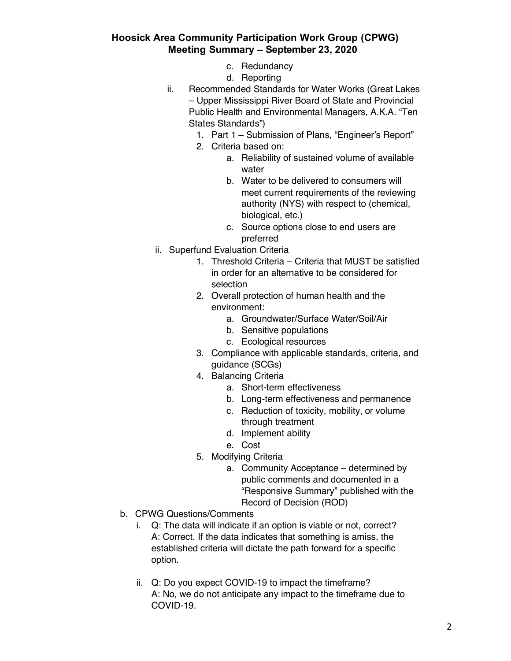- c. Redundancy
- d. Reporting
- ii. Recommended Standards for Water Works (Great Lakes – Upper Mississippi River Board of State and Provincial Public Health and Environmental Managers, A.K.A. "Ten States Standards")
	- 1. Part 1 Submission of Plans, "Engineer's Report"
	- 2. Criteria based on:
		- a. Reliability of sustained volume of available water
		- b. Water to be delivered to consumers will meet current requirements of the reviewing authority (NYS) with respect to (chemical, biological, etc.)
		- c. Source options close to end users are preferred
- ii. Superfund Evaluation Criteria
	- 1. Threshold Criteria Criteria that MUST be satisfied in order for an alternative to be considered for selection
	- 2. Overall protection of human health and the environment:
		- a. Groundwater/Surface Water/Soil/Air
		- b. Sensitive populations
		- c. Ecological resources
	- 3. Compliance with applicable standards, criteria, and guidance (SCGs)
	- 4. Balancing Criteria
		- a. Short-term effectiveness
		- b. Long-term effectiveness and permanence
		- c. Reduction of toxicity, mobility, or volume through treatment
		- d. Implement ability
		- e. Cost
	- 5. Modifying Criteria
		- a. Community Acceptance determined by public comments and documented in a "Responsive Summary" published with the Record of Decision (ROD)
- b. CPWG Questions/Comments
	- i. Q: The data will indicate if an option is viable or not, correct? A: Correct. If the data indicates that something is amiss, the established criteria will dictate the path forward for a specific option.
	- ii. Q: Do you expect COVID-19 to impact the timeframe? A: No, we do not anticipate any impact to the timeframe due to COVID-19.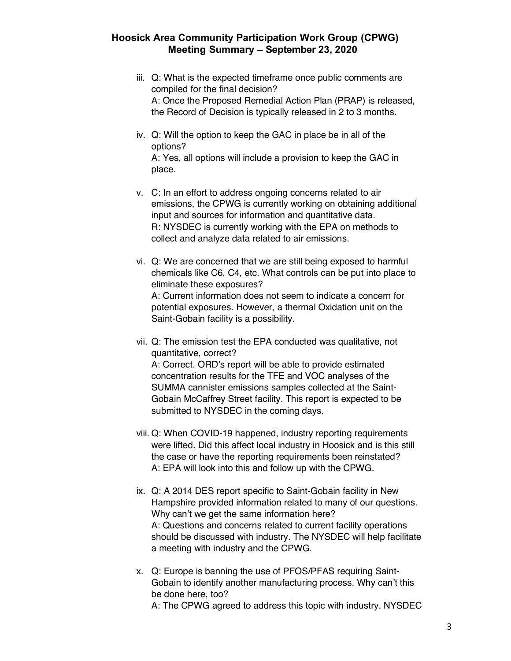- iii. Q: What is the expected timeframe once public comments are compiled for the final decision? A: Once the Proposed Remedial Action Plan (PRAP) is released, the Record of Decision is typically released in 2 to 3 months.
- iv. Q: Will the option to keep the GAC in place be in all of the options? A: Yes, all options will include a provision to keep the GAC in place.
- v. C: In an effort to address ongoing concerns related to air emissions, the CPWG is currently working on obtaining additional input and sources for information and quantitative data. R: NYSDEC is currently working with the EPA on methods to collect and analyze data related to air emissions.
- vi. Q: We are concerned that we are still being exposed to harmful chemicals like C6, C4, etc. What controls can be put into place to eliminate these exposures? A: Current information does not seem to indicate a concern for potential exposures. However, a thermal Oxidation unit on the Saint-Gobain facility is a possibility.
- vii. Q: The emission test the EPA conducted was qualitative, not quantitative, correct? A: Correct. ORD's report will be able to provide estimated concentration results for the TFE and VOC analyses of the SUMMA cannister emissions samples collected at the Saint-Gobain McCaffrey Street facility. This report is expected to be submitted to NYSDEC in the coming days.
- viii. Q: When COVID-19 happened, industry reporting requirements were lifted. Did this affect local industry in Hoosick and is this still the case or have the reporting requirements been reinstated? A: EPA will look into this and follow up with the CPWG.
- ix. Q: A 2014 DES report specific to Saint-Gobain facility in New Hampshire provided information related to many of our questions. Why can't we get the same information here? A: Questions and concerns related to current facility operations should be discussed with industry. The NYSDEC will help facilitate a meeting with industry and the CPWG.
- x. Q: Europe is banning the use of PFOS/PFAS requiring Saint-Gobain to identify another manufacturing process. Why can't this be done here, too? A: The CPWG agreed to address this topic with industry. NYSDEC